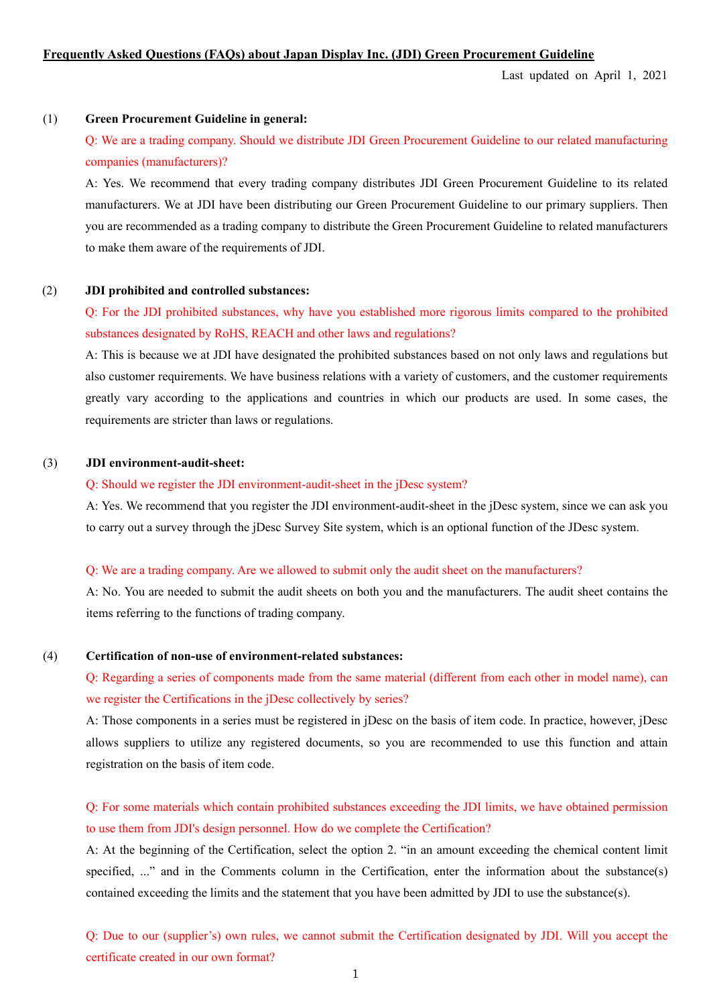### **Frequently Asked Questions (FAQs) about Japan Display Inc. (JDI) Green Procurement Guideline**

Last updated on April 1, 2021

### (1) **Green Procurement Guideline in general:**

Q: We are a trading company. Should we distribute JDI Green Procurement Guideline to our related manufacturing companies (manufacturers)?

A: Yes. We recommend that every trading company distributes JDI Green Procurement Guideline to its related manufacturers. We at JDI have been distributing our Green Procurement Guideline to our primary suppliers. Then you are recommended as a trading company to distribute the Green Procurement Guideline to related manufacturers to make them aware of the requirements of JDI.

#### (2) **JDI prohibited and controlled substances:**

Q: For the JDI prohibited substances, why have you established more rigorous limits compared to the prohibited substances designated by RoHS, REACH and other laws and regulations?

A: This is because we at JDI have designated the prohibited substances based on not only laws and regulations but also customer requirements. We have business relations with a variety of customers, and the customer requirements greatly vary according to the applications and countries in which our products are used. In some cases, the requirements are stricter than laws or regulations.

## (3) **JDI environment-audit-sheet:**

## Q: Should we register the JDI environment-audit-sheet in the jDesc system?

A: Yes. We recommend that you register the JDI environment-audit-sheet in the jDesc system, since we can ask you to carry out a survey through the jDesc Survey Site system, which is an optional function of the JDesc system.

### Q: We are a trading company. Are we allowed to submit only the audit sheet on the manufacturers?

A: No. You are needed to submit the audit sheets on both you and the manufacturers. The audit sheet contains the items referring to the functions of trading company.

### (4) **Certification of non-use of environment-related substances:**

Q: Regarding a series of components made from the same material (different from each other in model name), can we register the Certifications in the jDesc collectively by series?

A: Those components in a series must be registered in jDesc on the basis of item code. In practice, however, jDesc allows suppliers to utilize any registered documents, so you are recommended to use this function and attain registration on the basis of item code.

Q: For some materials which contain prohibited substances exceeding the JDI limits, we have obtained permission to use them from JDI's design personnel. How do we complete the Certification?

A: At the beginning of the Certification, select the option 2. "in an amount exceeding the chemical content limit specified, ..." and in the Comments column in the Certification, enter the information about the substance(s) contained exceeding the limits and the statement that you have been admitted by JDI to use the substance(s).

Q: Due to our (supplier's) own rules, we cannot submit the Certification designated by JDI. Will you accept the certificate created in our own format?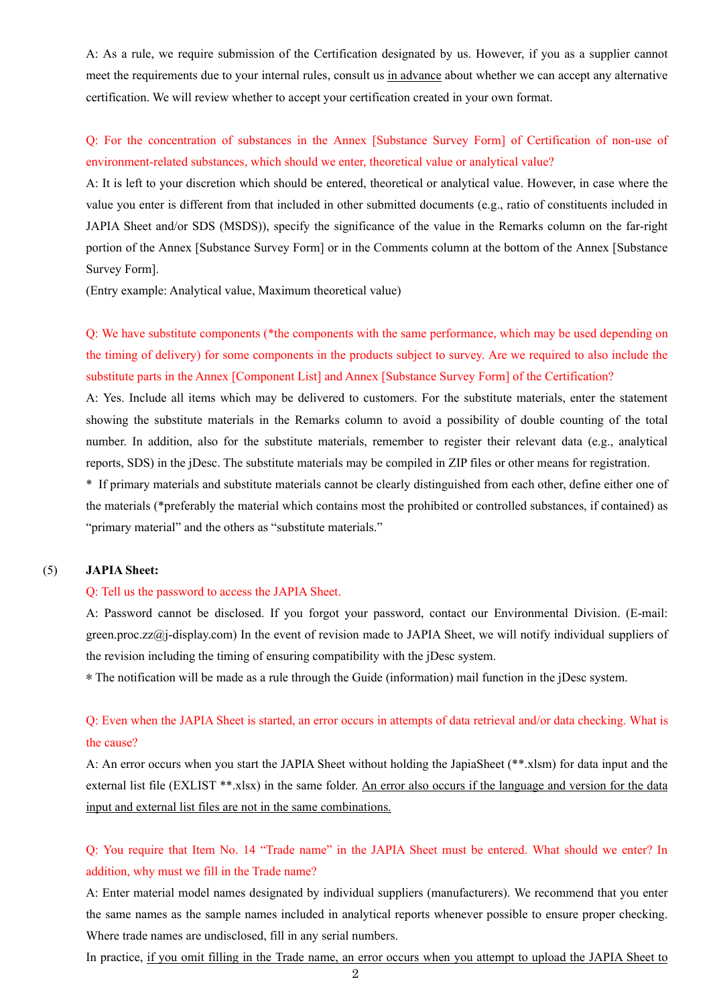A: As a rule, we require submission of the Certification designated by us. However, if you as a supplier cannot meet the requirements due to your internal rules, consult us in advance about whether we can accept any alternative certification. We will review whether to accept your certification created in your own format.

# Q: For the concentration of substances in the Annex [Substance Survey Form] of Certification of non-use of environment-related substances, which should we enter, theoretical value or analytical value?

A: It is left to your discretion which should be entered, theoretical or analytical value. However, in case where the value you enter is different from that included in other submitted documents (e.g., ratio of constituents included in JAPIA Sheet and/or SDS (MSDS)), specify the significance of the value in the Remarks column on the far-right portion of the Annex [Substance Survey Form] or in the Comments column at the bottom of the Annex [Substance Survey Form].

(Entry example: Analytical value, Maximum theoretical value)

Q: We have substitute components (\*the components with the same performance, which may be used depending on the timing of delivery) for some components in the products subject to survey. Are we required to also include the substitute parts in the Annex [Component List] and Annex [Substance Survey Form] of the Certification?

A: Yes. Include all items which may be delivered to customers. For the substitute materials, enter the statement showing the substitute materials in the Remarks column to avoid a possibility of double counting of the total number. In addition, also for the substitute materials, remember to register their relevant data (e.g., analytical reports, SDS) in the jDesc. The substitute materials may be compiled in ZIP files or other means for registration.

\* If primary materials and substitute materials cannot be clearly distinguished from each other, define either one of the materials (\*preferably the material which contains most the prohibited or controlled substances, if contained) as "primary material" and the others as "substitute materials."

# (5) **JAPIA Sheet:**

#### Q: Tell us the password to access the JAPIA Sheet.

A: Password cannot be disclosed. If you forgot your password, contact our Environmental Division. (E-mail: green.proc.zz@j-display.com) In the event of revision made to JAPIA Sheet, we will notify individual suppliers of the revision including the timing of ensuring compatibility with the jDesc system.

\* The notification will be made as a rule through the Guide (information) mail function in the jDesc system.

# Q: Even when the JAPIA Sheet is started, an error occurs in attempts of data retrieval and/or data checking. What is the cause?

A: An error occurs when you start the JAPIA Sheet without holding the JapiaSheet (\*\*.xlsm) for data input and the external list file (EXLIST \*\*.xlsx) in the same folder. An error also occurs if the language and version for the data input and external list files are not in the same combinations.

# Q: You require that Item No. 14 "Trade name" in the JAPIA Sheet must be entered. What should we enter? In addition, why must we fill in the Trade name?

A: Enter material model names designated by individual suppliers (manufacturers). We recommend that you enter the same names as the sample names included in analytical reports whenever possible to ensure proper checking. Where trade names are undisclosed, fill in any serial numbers.

In practice, if you omit filling in the Trade name, an error occurs when you attempt to upload the JAPIA Sheet to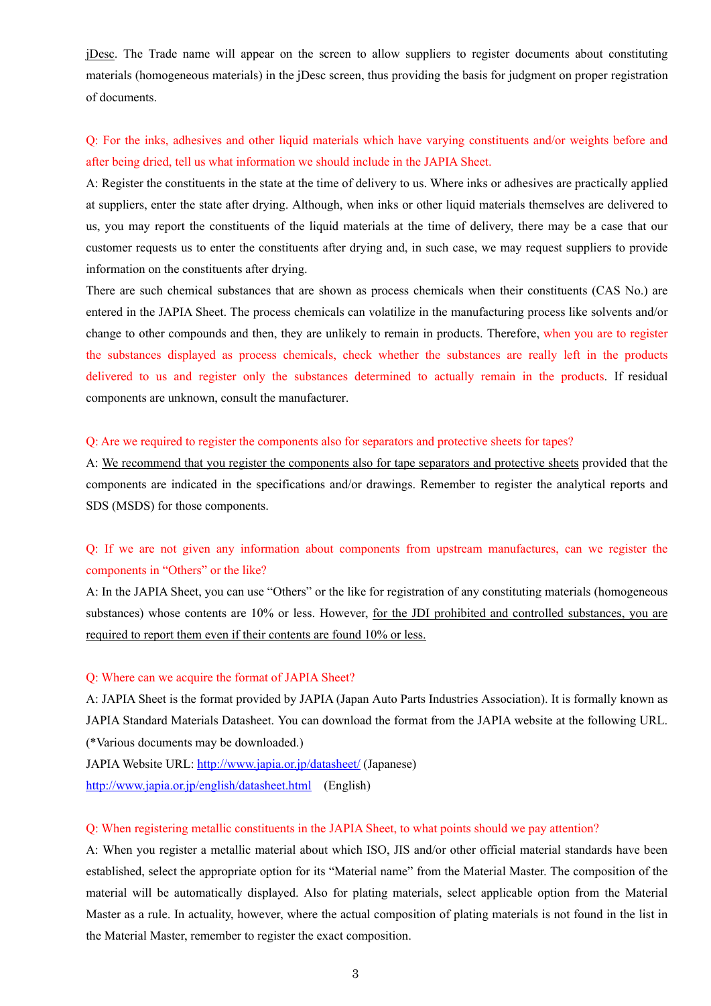jDesc. The Trade name will appear on the screen to allow suppliers to register documents about constituting materials (homogeneous materials) in the jDesc screen, thus providing the basis for judgment on proper registration of documents.

# Q: For the inks, adhesives and other liquid materials which have varying constituents and/or weights before and after being dried, tell us what information we should include in the JAPIA Sheet.

A: Register the constituents in the state at the time of delivery to us. Where inks or adhesives are practically applied at suppliers, enter the state after drying. Although, when inks or other liquid materials themselves are delivered to us, you may report the constituents of the liquid materials at the time of delivery, there may be a case that our customer requests us to enter the constituents after drying and, in such case, we may request suppliers to provide information on the constituents after drying.

There are such chemical substances that are shown as process chemicals when their constituents (CAS No.) are entered in the JAPIA Sheet. The process chemicals can volatilize in the manufacturing process like solvents and/or change to other compounds and then, they are unlikely to remain in products. Therefore, when you are to register the substances displayed as process chemicals, check whether the substances are really left in the products delivered to us and register only the substances determined to actually remain in the products. If residual components are unknown, consult the manufacturer.

#### Q: Are we required to register the components also for separators and protective sheets for tapes?

A: We recommend that you register the components also for tape separators and protective sheets provided that the components are indicated in the specifications and/or drawings. Remember to register the analytical reports and SDS (MSDS) for those components.

# Q: If we are not given any information about components from upstream manufactures, can we register the components in "Others" or the like?

A: In the JAPIA Sheet, you can use "Others" or the like for registration of any constituting materials (homogeneous substances) whose contents are 10% or less. However, for the JDI prohibited and controlled substances, you are required to report them even if their contents are found 10% or less.

### Q: Where can we acquire the format of JAPIA Sheet?

A: JAPIA Sheet is the format provided by JAPIA (Japan Auto Parts Industries Association). It is formally known as JAPIA Standard Materials Datasheet. You can download the format from the JAPIA website at the following URL. (\*Various documents may be downloaded.)

JAPIA Website URL: http://www.japia.or.jp/datasheet/ (Japanese)

http://www.japia.or.jp/english/datasheet.html (English)

### Q: When registering metallic constituents in the JAPIA Sheet, to what points should we pay attention?

A: When you register a metallic material about which ISO, JIS and/or other official material standards have been established, select the appropriate option for its "Material name" from the Material Master. The composition of the material will be automatically displayed. Also for plating materials, select applicable option from the Material Master as a rule. In actuality, however, where the actual composition of plating materials is not found in the list in the Material Master, remember to register the exact composition.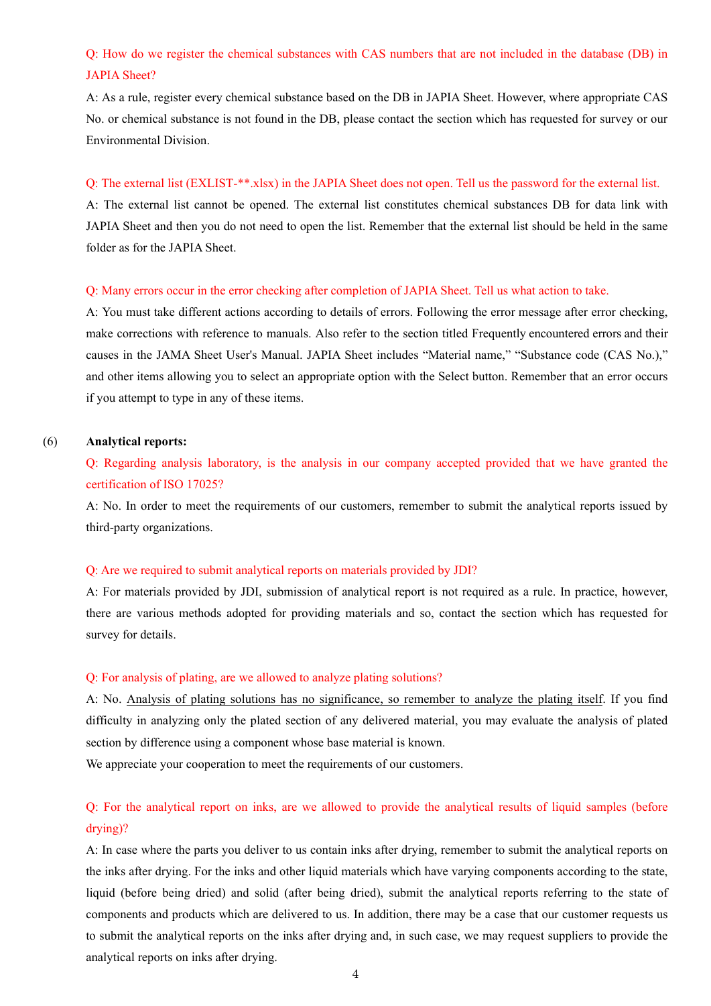# Q: How do we register the chemical substances with CAS numbers that are not included in the database (DB) in JAPIA Sheet?

A: As a rule, register every chemical substance based on the DB in JAPIA Sheet. However, where appropriate CAS No. or chemical substance is not found in the DB, please contact the section which has requested for survey or our Environmental Division.

# Q: The external list (EXLIST-\*\*.xlsx) in the JAPIA Sheet does not open. Tell us the password for the external list.

A: The external list cannot be opened. The external list constitutes chemical substances DB for data link with JAPIA Sheet and then you do not need to open the list. Remember that the external list should be held in the same folder as for the JAPIA Sheet.

### Q: Many errors occur in the error checking after completion of JAPIA Sheet. Tell us what action to take.

A: You must take different actions according to details of errors. Following the error message after error checking, make corrections with reference to manuals. Also refer to the section titled Frequently encountered errors and their causes in the JAMA Sheet User's Manual. JAPIA Sheet includes "Material name," "Substance code (CAS No.)," and other items allowing you to select an appropriate option with the Select button. Remember that an error occurs if you attempt to type in any of these items.

# (6) **Analytical reports:**

Q: Regarding analysis laboratory, is the analysis in our company accepted provided that we have granted the certification of ISO 17025?

A: No. In order to meet the requirements of our customers, remember to submit the analytical reports issued by third-party organizations.

### Q: Are we required to submit analytical reports on materials provided by JDI?

A: For materials provided by JDI, submission of analytical report is not required as a rule. In practice, however, there are various methods adopted for providing materials and so, contact the section which has requested for survey for details.

### Q: For analysis of plating, are we allowed to analyze plating solutions?

A: No. Analysis of plating solutions has no significance, so remember to analyze the plating itself. If you find difficulty in analyzing only the plated section of any delivered material, you may evaluate the analysis of plated section by difference using a component whose base material is known.

We appreciate your cooperation to meet the requirements of our customers.

# Q: For the analytical report on inks, are we allowed to provide the analytical results of liquid samples (before drying)?

A: In case where the parts you deliver to us contain inks after drying, remember to submit the analytical reports on the inks after drying. For the inks and other liquid materials which have varying components according to the state, liquid (before being dried) and solid (after being dried), submit the analytical reports referring to the state of components and products which are delivered to us. In addition, there may be a case that our customer requests us to submit the analytical reports on the inks after drying and, in such case, we may request suppliers to provide the analytical reports on inks after drying.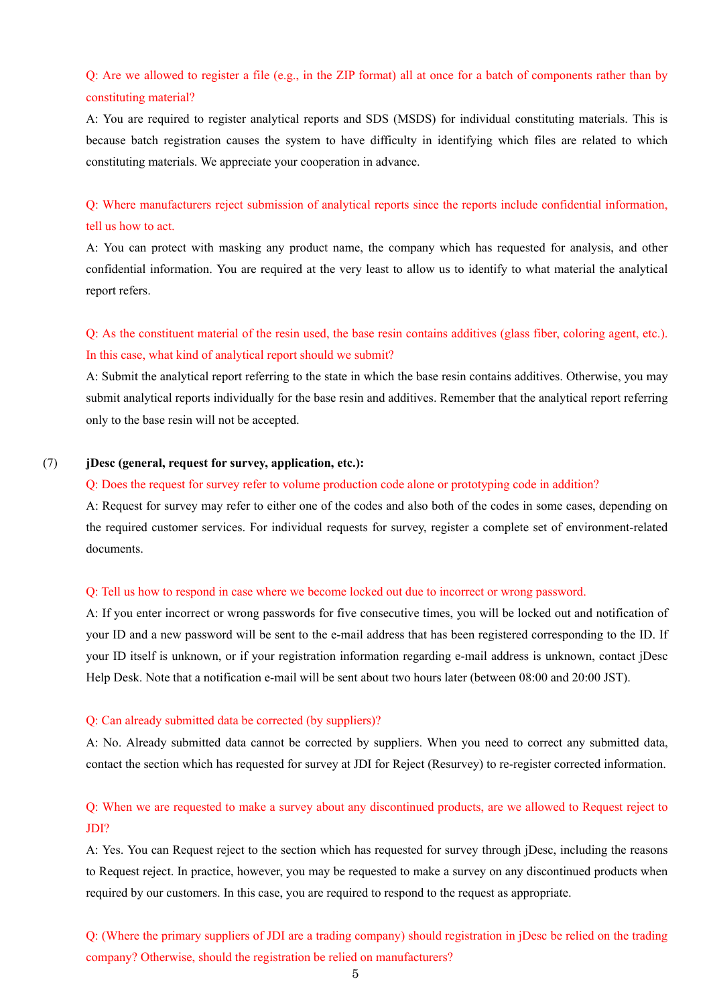# Q: Are we allowed to register a file (e.g., in the ZIP format) all at once for a batch of components rather than by constituting material?

A: You are required to register analytical reports and SDS (MSDS) for individual constituting materials. This is because batch registration causes the system to have difficulty in identifying which files are related to which constituting materials. We appreciate your cooperation in advance.

Q: Where manufacturers reject submission of analytical reports since the reports include confidential information, tell us how to act.

A: You can protect with masking any product name, the company which has requested for analysis, and other confidential information. You are required at the very least to allow us to identify to what material the analytical report refers.

Q: As the constituent material of the resin used, the base resin contains additives (glass fiber, coloring agent, etc.). In this case, what kind of analytical report should we submit?

A: Submit the analytical report referring to the state in which the base resin contains additives. Otherwise, you may submit analytical reports individually for the base resin and additives. Remember that the analytical report referring only to the base resin will not be accepted.

# (7) **jDesc (general, request for survey, application, etc.):**

### Q: Does the request for survey refer to volume production code alone or prototyping code in addition?

A: Request for survey may refer to either one of the codes and also both of the codes in some cases, depending on the required customer services. For individual requests for survey, register a complete set of environment-related documents.

### Q: Tell us how to respond in case where we become locked out due to incorrect or wrong password.

A: If you enter incorrect or wrong passwords for five consecutive times, you will be locked out and notification of your ID and a new password will be sent to the e-mail address that has been registered corresponding to the ID. If your ID itself is unknown, or if your registration information regarding e-mail address is unknown, contact jDesc Help Desk. Note that a notification e-mail will be sent about two hours later (between 08:00 and 20:00 JST).

#### Q: Can already submitted data be corrected (by suppliers)?

A: No. Already submitted data cannot be corrected by suppliers. When you need to correct any submitted data, contact the section which has requested for survey at JDI for Reject (Resurvey) to re-register corrected information.

# Q: When we are requested to make a survey about any discontinued products, are we allowed to Request reject to JDI?

A: Yes. You can Request reject to the section which has requested for survey through jDesc, including the reasons to Request reject. In practice, however, you may be requested to make a survey on any discontinued products when required by our customers. In this case, you are required to respond to the request as appropriate.

Q: (Where the primary suppliers of JDI are a trading company) should registration in jDesc be relied on the trading company? Otherwise, should the registration be relied on manufacturers?